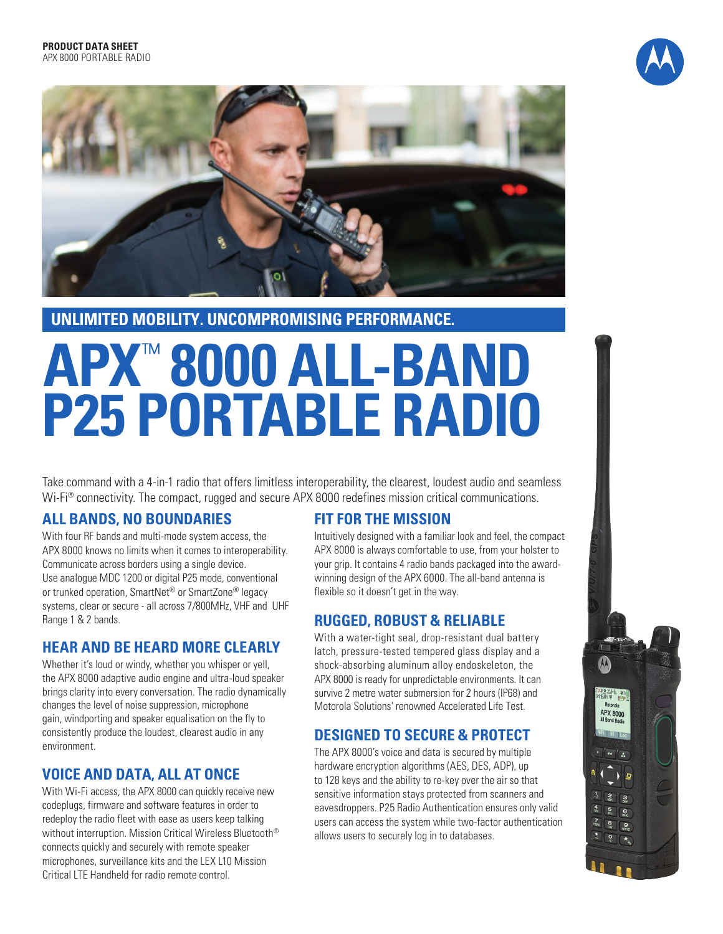



**UNLIMITED MOBILITY. UNCOMPROMISING PERFORMANCE.**

# **APX** ™ **8000 ALL-BAND P25 PORTABLE RADIO**

Take command with a 4-in-1 radio that offers limitless interoperability, the clearest, loudest audio and seamless Wi-Fi<sup>®</sup> connectivity. The compact, rugged and secure APX 8000 redefines mission critical communications.

## **ALL BANDS, NO BOUNDARIES**

With four RF bands and multi-mode system access, the APX 8000 knows no limits when it comes to interoperability. Communicate across borders using a single device. Use analogue MDC 1200 or digital P25 mode, conventional or trunked operation, SmartNet<sup>®</sup> or SmartZone<sup>®</sup> legacy systems, clear or secure - all across 7/800MHz, VHF and UHF Range 1 & 2 bands.

# **HEAR AND BE HEARD MORE CLEARLY**

Whether it's loud or windy, whether you whisper or yell, the APX 8000 adaptive audio engine and ultra-loud speaker brings clarity into every conversation. The radio dynamically changes the level of noise suppression, microphone gain, windporting and speaker equalisation on the fly to consistently produce the loudest, clearest audio in any environment.

# **VOICE AND DATA, ALL AT ONCE**

With Wi-Fi access, the APX 8000 can quickly receive new codeplugs, firmware and software features in order to redeploy the radio fleet with ease as users keep talking without interruption. Mission Critical Wireless Bluetooth® connects quickly and securely with remote speaker microphones, surveillance kits and the LEX L10 Mission Critical LTE Handheld for radio remote control.

## **FIT FOR THE MISSION**

Intuitively designed with a familiar look and feel, the compact APX 8000 is always comfortable to use, from your holster to your grip. It contains 4 radio bands packaged into the awardwinning design of the APX 6000. The all-band antenna is flexible so it doesn't get in the way.

# **RUGGED, ROBUST & RELIABLE**

With a water-tight seal, drop-resistant dual battery latch, pressure-tested tempered glass display and a shock-absorbing aluminum alloy endoskeleton, the APX 8000 is ready for unpredictable environments. It can survive 2 metre water submersion for 2 hours (IP68) and Motorola Solutions' renowned Accelerated Life Test.

# **DESIGNED TO SECURE & PROTECT**

The APX 8000's voice and data is secured by multiple hardware encryption algorithms (AES, DES, ADP), up to 128 keys and the ability to re-key over the air so that sensitive information stays protected from scanners and eavesdroppers. P25 Radio Authentication ensures only valid users can access the system while two-factor authentication allows users to securely log in to databases.

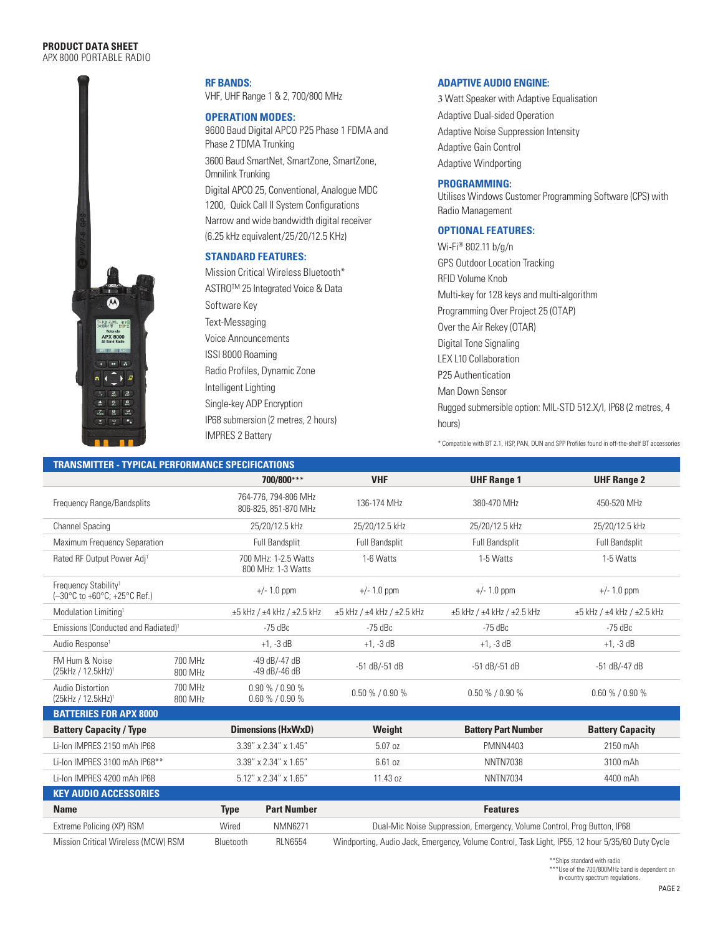#### **PRODUCT DATA SHEET**  APX 8000 PORTABLE RADIO



**RF BANDS:** VHF, UHF Range 1 & 2, 700/800 MHz

#### **OPERATION MODES:**

9600 Baud Digital APCO P25 Phase 1 FDMA and Phase 2 TDMA Trunking 3600 Baud SmartNet, SmartZone, SmartZone, Omnilink Trunking Digital APCO 25, Conventional, Analogue MDC 1200, Quick Call II System Configurations Narrow and wide bandwidth digital receiver (6.25 kHz equivalent/25/20/12.5 KHz)

#### **STANDARD FEATURES:**

Mission Critical Wireless Bluetooth\* ASTROTM 25 Integrated Voice & Data Software Key Text-Messaging Voice Announcements ISSI 8000 Roaming Radio Profiles, Dynamic Zone Intelligent Lighting Single-key ADP Encryption IP68 submersion (2 metres, 2 hours) IMPRES 2 Battery

#### **ADAPTIVE AUDIO ENGINE:**

3 Watt Speaker with Adaptive Equalisation Adaptive Dual-sided Operation Adaptive Noise Suppression Intensity Adaptive Gain Control Adaptive Windporting

#### **PROGRAMMING:**

Utilises Windows Customer Programming Software (CPS) with Radio Management

### **OPTIONAL FEATURES:**

Wi-Fi® 802.11 b/g/n GPS Outdoor Location Tracking RFID Volume Knob Multi-key for 128 keys and multi-algorithm Programming Over Project 25 (OTAP) Over the Air Rekey (OTAR) Digital Tone Signaling LEX L10 Collaboration P25 Authentication Man Down Sensor Rugged submersible option: MIL-STD 512.X/I, IP68 (2 metres, 4 hours)

\* Compatible with BT 2.1, HSP, PAN, DUN and SPP Profiles found in off-the-shelf BT accessories

| <b>TRANSMITTER - TYPICAL PERFORMANCE SPECIFICATIONS</b>                  |                    |             |                                              |                                                                                                  |                            |                            |  |  |
|--------------------------------------------------------------------------|--------------------|-------------|----------------------------------------------|--------------------------------------------------------------------------------------------------|----------------------------|----------------------------|--|--|
|                                                                          |                    |             | 700/800***                                   | <b>VHF</b>                                                                                       | <b>UHF Range 1</b>         | <b>UHF Range 2</b>         |  |  |
| Frequency Range/Bandsplits                                               |                    |             | 764-776, 794-806 MHz<br>806-825, 851-870 MHz | 136-174 MHz                                                                                      | 380-470 MHz                | 450-520 MHz                |  |  |
| <b>Channel Spacing</b>                                                   |                    |             | 25/20/12.5 kHz                               | 25/20/12.5 kHz                                                                                   | 25/20/12.5 kHz             | 25/20/12.5 kHz             |  |  |
| Maximum Frequency Separation                                             |                    |             | Full Bandsplit                               | Full Bandsplit                                                                                   | Full Bandsplit             | <b>Full Bandsplit</b>      |  |  |
| Rated RF Output Power Adj <sup>1</sup>                                   |                    |             | 700 MHz: 1-2.5 Watts<br>800 MHz: 1-3 Watts   | 1-6 Watts                                                                                        | 1-5 Watts                  | 1-5 Watts                  |  |  |
| Frequency Stability <sup>1</sup><br>(-30°C to +60°C; +25°C Ref.)         |                    |             | $+/- 1.0$ ppm                                | $+/- 1.0$ ppm                                                                                    | $+/- 1.0$ ppm              | $+/- 1.0$ ppm              |  |  |
| Modulation Limiting <sup>1</sup>                                         |                    |             | $\pm 5$ kHz / $\pm 4$ kHz / $\pm 2.5$ kHz    | ±5 kHz / ±4 kHz / ±2.5 kHz                                                                       | ±5 kHz / ±4 kHz / ±2.5 kHz | ±5 kHz / ±4 kHz / ±2.5 kHz |  |  |
| Emissions (Conducted and Radiated) <sup>1</sup>                          |                    |             | $-75$ dBc                                    | $-75$ dBc                                                                                        | -75 dBc                    | $-75$ dBc                  |  |  |
| Audio Response <sup>1</sup>                                              |                    |             | $+1. -3$ dB                                  | $+1, -3$ dB                                                                                      | $+1, -3$ dB                | $+1, -3$ dB                |  |  |
| FM Hum & Noise<br>(25kHz / 12.5kHz) <sup>1</sup>                         | 700 MHz<br>800 MHz |             | -49 dB/-47 dB<br>-49 dB/-46 dB               | -51 dB/-51 dB                                                                                    | $-51$ dB/ $-51$ dB         | $-51$ dB/-47 dB            |  |  |
| Audio Distortion<br>700 MHz<br>(25kHz / 12.5kHz) <sup>1</sup><br>800 MHz |                    |             | $0.90\%$ / $0.90\%$<br>$0.60\% / 0.90\%$     | $0.50\% / 0.90\%$                                                                                | $0.50\% / 0.90\%$          | $0.60\%$ / $0.90\%$        |  |  |
| <b>BATTERIES FOR APX 8000</b>                                            |                    |             |                                              |                                                                                                  |                            |                            |  |  |
| <b>Battery Capacity / Type</b>                                           |                    |             | <b>Dimensions (HxWxD)</b>                    | Weight                                                                                           | <b>Battery Part Number</b> | <b>Battery Capacity</b>    |  |  |
| Li-Ion IMPRES 2150 mAh IP68                                              |                    |             | 3.39" x 2.34" x 1.45"                        | 5.07 oz                                                                                          | <b>PMNN4403</b>            | 2150 mAh                   |  |  |
| Li-Ion IMPRES 3100 mAh IP68**                                            |                    |             | 3.39" x 2.34" x 1.65"                        | 6.61 oz                                                                                          | <b>NNTN7038</b>            | 3100 mAh                   |  |  |
| Li-Ion IMPRES 4200 mAh IP68                                              |                    |             | 5.12" x 2.34" x 1.65"                        | 11.43 oz<br><b>NNTN7034</b>                                                                      |                            | 4400 mAh                   |  |  |
| <b>KEY AUDIO ACCESSORIES</b>                                             |                    |             |                                              |                                                                                                  |                            |                            |  |  |
| <b>Name</b>                                                              |                    | <b>Type</b> | <b>Part Number</b>                           |                                                                                                  | <b>Features</b>            |                            |  |  |
| Extreme Policing (XP) RSM                                                |                    | Wired       | <b>NMN6271</b>                               | Dual-Mic Noise Suppression, Emergency, Volume Control, Prog Button, IP68                         |                            |                            |  |  |
| Mission Critical Wireless (MCW) RSM                                      |                    | Bluetooth   | <b>RLN6554</b>                               | Windporting, Audio Jack, Emergency, Volume Control, Task Light, IP55, 12 hour 5/35/60 Duty Cycle |                            |                            |  |  |

\*\*Ships standard with radio

\*\*\*Use of the 700/800MHz band is dependent on in-country spectrum regulations.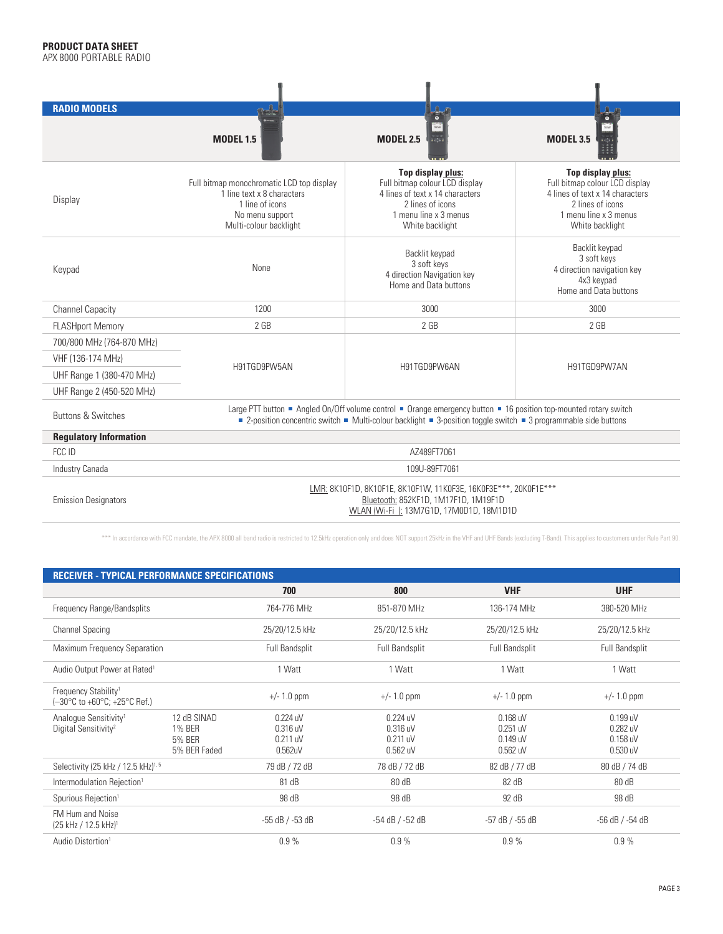| <b>RADIO MODELS</b>           |                                                                                                                                                    | $\frac{\partial}{\partial t} \frac{\partial}{\partial x} \frac{\partial}{\partial y} = 0$                                                                                                                                             | $\frac{1}{\bullet}$                                                                                                                                    |  |  |  |  |
|-------------------------------|----------------------------------------------------------------------------------------------------------------------------------------------------|---------------------------------------------------------------------------------------------------------------------------------------------------------------------------------------------------------------------------------------|--------------------------------------------------------------------------------------------------------------------------------------------------------|--|--|--|--|
|                               | <b>MODEL 1.5</b>                                                                                                                                   | en de<br><b>MODEL 2.5</b><br>açã                                                                                                                                                                                                      | mm.<br>$-1$<br><b>MODEL 3.5</b>                                                                                                                        |  |  |  |  |
| Display                       | Full bitmap monochromatic LCD top display<br>1 line text x 8 characters<br>1 line of icons<br>No menu support<br>Multi-colour backlight            | Top display plus:<br>Full bitmap colour LCD display<br>4 lines of text x 14 characters<br>2 lines of icons<br>1 menu line x 3 menus<br>White backlight                                                                                | Top display plus:<br>Full bitmap colour LCD display<br>4 lines of text x 14 characters<br>2 lines of icons<br>1 menu line x 3 menus<br>White backlight |  |  |  |  |
| Keypad                        | None                                                                                                                                               | Backlit keypad<br>3 soft keys<br>4 direction Navigation key<br>Home and Data buttons                                                                                                                                                  | Backlit keypad<br>3 soft keys<br>4 direction navigation key<br>4x3 keypad<br>Home and Data buttons                                                     |  |  |  |  |
| <b>Channel Capacity</b>       | 1200                                                                                                                                               | 3000                                                                                                                                                                                                                                  | 3000                                                                                                                                                   |  |  |  |  |
| <b>FLASHport Memory</b>       | $2$ GB                                                                                                                                             | 2 <sub>GB</sub>                                                                                                                                                                                                                       | 2 <sub>GB</sub>                                                                                                                                        |  |  |  |  |
| 700/800 MHz (764-870 MHz)     |                                                                                                                                                    |                                                                                                                                                                                                                                       | H91TGD9PW7AN                                                                                                                                           |  |  |  |  |
| VHF (136-174 MHz)             | H91TGD9PW5AN                                                                                                                                       | H91TGD9PW6AN                                                                                                                                                                                                                          |                                                                                                                                                        |  |  |  |  |
| UHF Range 1 (380-470 MHz)     |                                                                                                                                                    |                                                                                                                                                                                                                                       |                                                                                                                                                        |  |  |  |  |
| UHF Range 2 (450-520 MHz)     |                                                                                                                                                    |                                                                                                                                                                                                                                       |                                                                                                                                                        |  |  |  |  |
| <b>Buttons &amp; Switches</b> |                                                                                                                                                    | Large PTT button ■ Angled On/Off volume control ■ Orange emergency button ■ 16 position top-mounted rotary switch<br>■ 2-position concentric switch ■ Multi-colour backlight ■ 3-position toggle switch ■ 3 programmable side buttons |                                                                                                                                                        |  |  |  |  |
| <b>Regulatory Information</b> |                                                                                                                                                    |                                                                                                                                                                                                                                       |                                                                                                                                                        |  |  |  |  |
| FCC ID                        |                                                                                                                                                    | AZ489FT7061                                                                                                                                                                                                                           |                                                                                                                                                        |  |  |  |  |
| Industry Canada               |                                                                                                                                                    | 109U-89FT7061                                                                                                                                                                                                                         |                                                                                                                                                        |  |  |  |  |
| <b>Emission Designators</b>   | LMR: 8K10F1D, 8K10F1E, 8K10F1W, 11K0F3E, 16K0F3E***, 20K0F1E***<br>Bluetooth: 852KF1D, 1M17F1D, 1M19F1D<br>WLAN (Wi-Fi): 13M7G1D, 17M0D1D, 18M1D1D |                                                                                                                                                                                                                                       |                                                                                                                                                        |  |  |  |  |

\*\*\* In accordance with FCC mandate, the APX 8000 all band radio is restricted to 12.5kHz operation only and does NOT support 25kHz in the VHF and UHF Bands (excluding T-Band). This applies to customers under Rule Part 90.

| <b>RECEIVER - TYPICAL PERFORMANCE SPECIFICATIONS</b>                                             |                                                        |                                               |                                                  |                                                  |                                                |  |  |  |
|--------------------------------------------------------------------------------------------------|--------------------------------------------------------|-----------------------------------------------|--------------------------------------------------|--------------------------------------------------|------------------------------------------------|--|--|--|
|                                                                                                  |                                                        | 700                                           | 800                                              | <b>VHF</b>                                       | <b>UHF</b>                                     |  |  |  |
| Frequency Range/Bandsplits                                                                       |                                                        | 764-776 MHz                                   | 851-870 MHz                                      | 136-174 MHz                                      | 380-520 MHz                                    |  |  |  |
| <b>Channel Spacing</b>                                                                           |                                                        | 25/20/12.5 kHz                                | 25/20/12.5 kHz                                   | 25/20/12.5 kHz                                   | 25/20/12.5 kHz                                 |  |  |  |
| Maximum Frequency Separation                                                                     |                                                        | <b>Full Bandsplit</b>                         | <b>Full Bandsplit</b>                            |                                                  | Full Bandsplit                                 |  |  |  |
| Audio Output Power at Rated <sup>1</sup>                                                         |                                                        | 1 Watt                                        | 1 Watt                                           | 1 Watt<br>1 Watt                                 |                                                |  |  |  |
| Frequency Stability <sup>1</sup><br>$(-30^{\circ}$ C to +60 $^{\circ}$ C; +25 $^{\circ}$ C Ref.) |                                                        | $+/- 1.0$ ppm                                 | $+/- 1.0$ ppm                                    | $+/- 1.0$ ppm                                    | $+/- 1.0$ ppm                                  |  |  |  |
| Analogue Sensitivity <sup>1</sup><br>Digital Sensitivity <sup>2</sup>                            | 12 dB SINAD<br>1% BER<br><b>5% BER</b><br>5% BER Faded | 0.224 uV<br>$0.316$ uV<br>0.211 uV<br>0.562uV | 0.224 uV<br>$0.316$ uV<br>0.211 uV<br>$0.562$ uV | $0.168$ uV<br>$0.251$ uV<br>0.149 uV<br>0.562 uV | $0.199$ uV<br>0.282 uV<br>0.158 uV<br>0.530 uV |  |  |  |
| Selectivity (25 kHz / 12.5 kHz) <sup>1,5</sup>                                                   |                                                        | 79 dB / 72 dB                                 | 78 dB / 72 dB                                    | 82 dB / 77 dB                                    | 80 dB / 74 dB                                  |  |  |  |
| Intermodulation Rejection <sup>1</sup>                                                           |                                                        | 81 dB                                         | 80 dB                                            | 82 dB                                            | 80 dB                                          |  |  |  |
| Spurious Rejection <sup>1</sup>                                                                  |                                                        | 98 dB                                         | 98 dB                                            | 92 dB                                            | 98 dB                                          |  |  |  |
| FM Hum and Noise<br>(25 kHz / 12.5 kHz) <sup>1</sup>                                             |                                                        | $-55$ dB $/$ -53 dB                           | $-54$ dB $/ -52$ dB                              | $-57$ dB $/ -55$ dB                              | -56 dB / -54 dB                                |  |  |  |
| Audio Distortion <sup>1</sup>                                                                    |                                                        | 0.9%                                          | 0.9%                                             | 0.9%                                             | 0.9%                                           |  |  |  |